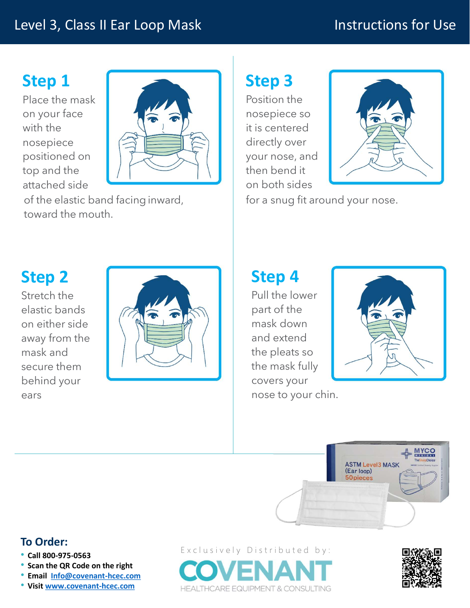#### Level 3, Class II Ear Loop Mask

## Instructions for Use

# Step 1

Place the mask on your face with the nosepiece positioned on top and the attached side



### Step 3

Position the nosepiece so it is centered directly over your nose, and then bend it on both sides



for a snug fit around your nose.

## Step 2

Stretch the elastic bands on either side away from the mask and secure them behind your ears and the contract of the contract of the contract of the contract of the contract of the contract of the contract of the contract of the contract of the contract of the contract of the contract of the contract of the c



## Step 4

Pull the lower part of the mask down and extend the pleats so the mask fully covers your nose to your chin.





#### To Order:

- 
- 
- Scan the QR Code on the right<br>• Email Info@covenant-hcec.com
- 

• Call 800-975-0563 Exclusively Distributed by: